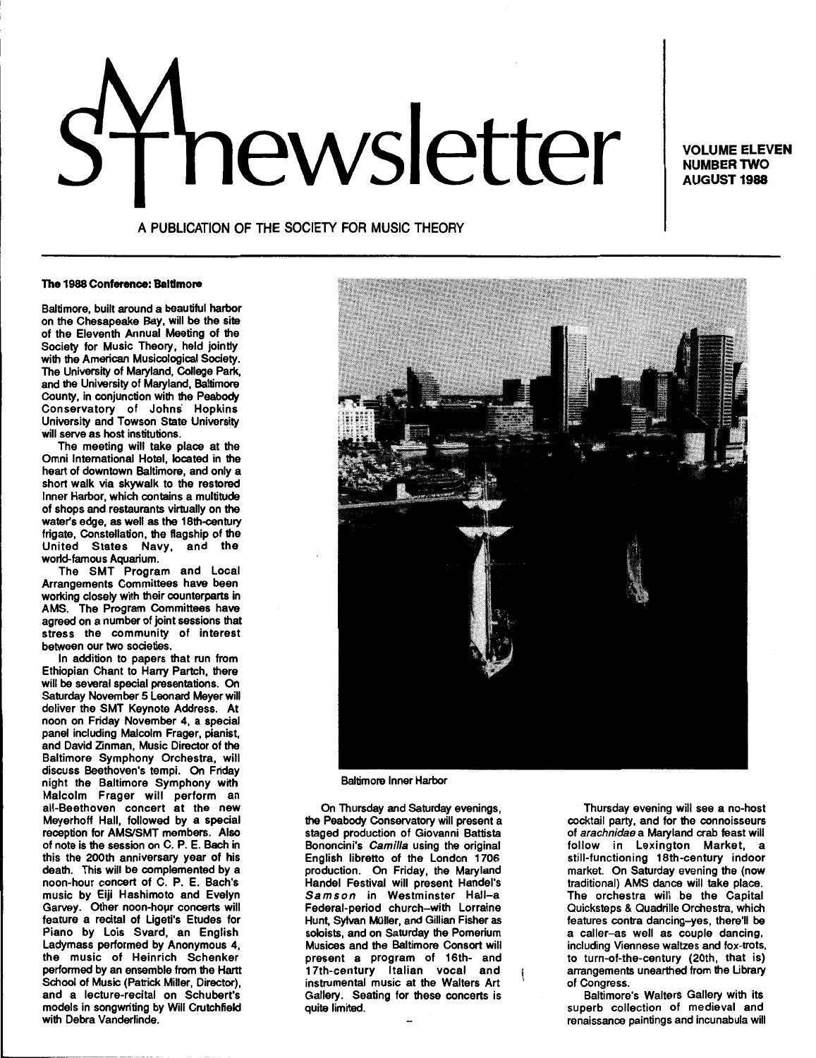# news<sub>Nume</sub> ELEVEN

NUMBER TWO **AUGUST 1988** 

# A PUBLICATION OF THE SOCIETY FOR MUSIC THEORY

### The 1988 Conference: Baltimore

Baltimore, built around a beautiful harbor on the Chesapeake Bay, will be the site of the Eleventh Annual Meeting of the Society for Music Theory, held jointly with the American Musicological Society. The University of Maryland, College Park, and the University of Maryland, Baltimore County, in conjunction with the Peabody Conservatory of Johns Hopkins University and Towson State University will serve as host institutions.

The meeting will take place at the Omni International Hotel, located in the heart of downtown Baltimore, and only a short walk via skywalk to the restored Inner Harbor, which contains a multitude of shops and restaurants virtually on the water's edge, as well as the 18th-century frigate, Constellation, the flagship of the United States Navy, and the world-famous Aquarium.

The SMT Program and Local Arrangements Committees have been working closely with their counterparts in AMS. The Program Committees have agreed on a number of joint sessions that stress the community of interest between our two societies.

In addition to papers that run from Ethiopian Chant to Harry Partch, there will be several special presentations. On Saturday November 5 Leonard Meyer will deliver the SMT Keynote Address. At noon on Friday November 4, a special panel including Malcolm Frager, pianist, and David Zinman, Music Director of the Baltimore Symphony Orchestra, will discuss Beethoven's tempi. On Friday night the Baltimore Symphony with Malcolm Frager will perform an all-Beethoven concert at the new Meyerhoff Hall, followed by a special reception for AMS/SMT members. Also of note is the session on C. P. E. Bach in this the 200th anniversary year of his death. This will be complemented by a noon-hour concert of C. P. E. Bach's music by Eiji Hashimoto and Evelyn Garvey. Other noon-hour concerts will feature a recital of Ligeti's Etudes for Piano by Lois Svard, an English Ladymass performed by Anonymous 4, the music of Heinrich Schenker performed by an ensemble from the Hartt School of Music (Patrick Miller, Director), and a lecture-recital on Schubert's models in songwriting by Will Crutchfield with Debra Vanderlinde.



Baltimore Inner Harbor

On Thursday and Saturday evenings, the Peabody Conservatory will present a staged production of Giovanni Battista Bononcini's Camilla using the original English libretto of the London 1706 production. On Friday, the Maryland Handel Festival will present Handel's Samson in Westminster Hall-a Federal-period church-with Lorraine Hunt, Sylvan Müller, and Gillian Fisher as soloists, and on Saturday the Pomerium Musices and the Baltimore Consort will present a program of 16th- and 17th-century Italian vocal and instrumental music at the Walters Art Gallery. Seating for these concerts is quite limited.

Thursday evening will see a no-host cocktail party, and for the connoisseurs of arachnidae a Maryland crab feast will follow in Lexington Market, a still-functioning 18th-century indoor market. On Saturday evening the (now traditional) AMS dance will take place. The orchestra will be the Capital Quicksteps & Quadrille Orchestra, which features contra dancing-yes, there'll be a caller-as well as couple dancing, including Viennese waltzes and fox-trots, to turn-of-the-century (20th, that is) arrangements unearthed from the Ubrary of Congress.

Baltimore's Walters Gallery with its superb collection of medieval and renaissance paintings and incunabula will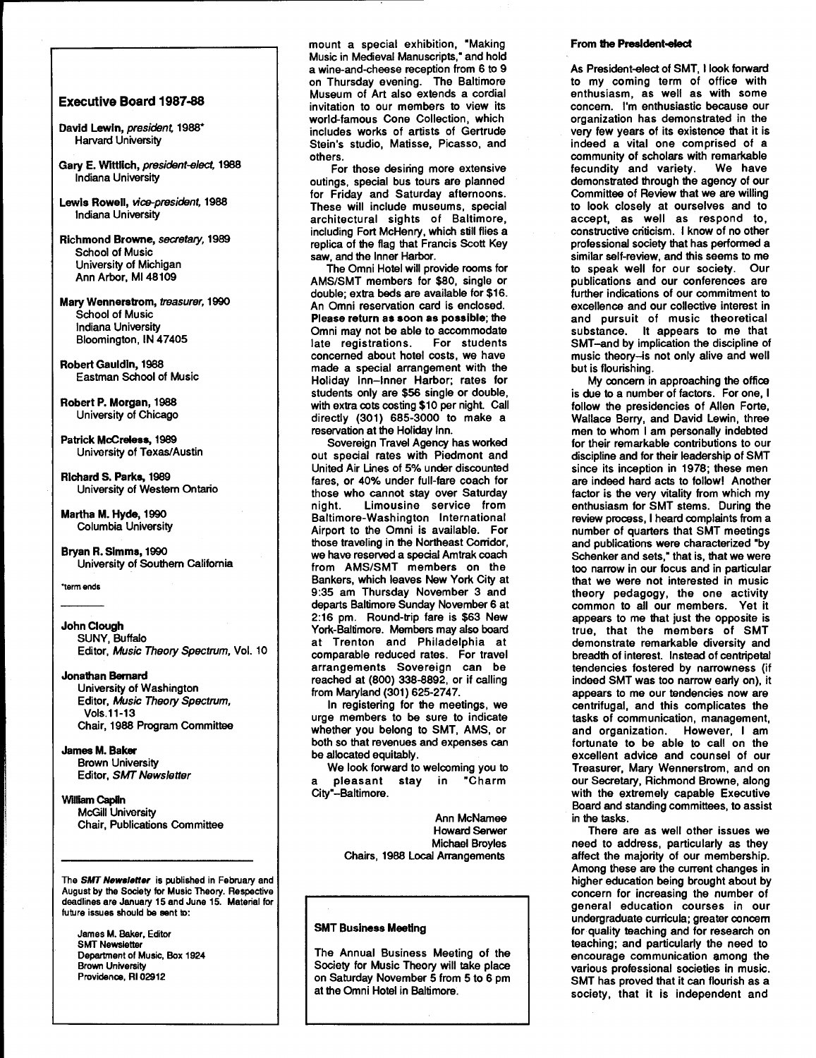# Executive Board 1987-88

- David Lewin, president, 1988\* Harvard University
- Gary E. Wlttllch, president-elect, 1988 Indiana University
- Lewis Rowell, vice-president, 1988 Indiana University
- Richmond Browne, secretary, 1989 School of Music University of Michigan Ann Arbor, Ml48109
- Mary Wennerstrom, treasurer, 1990 School of Music Indiana University Bloomington, IN 47405
- Robert Gauldin, 1988 Eastman School of Music

Robert P. Morgan, 1988 University of Chicago

Patrick McCreless, 1989 University of Texas/Austin

Richard S. Parks, 1989 University of Western Ontario

Martha M. Hyde, 1990 Columbia University

Bryan R. Simms, 1990 University of Southern California

'term ends

# John Clough SUNY, Buffalo Editor, Music Theory Spectrum, Vol. 10

# Jonathan Bernard

University of Washington Editor, Music Theory Spectrum, Vols.11-13 Chair, 1988 Program Committee

# James M. Baker

Brown University Editor, SMT Newsletter

# William Capiin McGill University Chair, Publications Committee

The SMT Newsletter is published in February and August by the Society for Music Theory. Respective deadlines are January 15 and June 15. Material for future issues should be eent to:

James M. Baker, Editor SMT Newsletter Department of Music, Box 1924 Brown University Providence, Rl 02912

mount a special exhibition, "Making Music in Medieval Manuscripts, • and hold a wine-and-cheese reception from 6 to 9 on Thursday evening. The Baltimore Museum of Art also extends a cordial invitation to our members to view its world-famous Cone Collection, which includes works of artists of Gertrude Stein's studio, Matisse, Picasso, and others.

For those desiring more extensive outings, special bus tours are planned for Friday and Saturday afternoons. These will include museums, special architectural sights of Baltimore, including Fort McHenry, which still flies a replica of the flag that Francis Scott Key saw, and the Inner Harbor.

The Omni Hotel will provide rooms for AMS/SMT members for \$80, single or double; extra beds are available for \$16. An Omni reservation card is enclosed. Please return as soon as possible; the Omni may not be able to accommodate<br>late registrations. For students late registrations. concerned about hotel costs, we have made a special arrangement with the Holiday Inn-Inner Harbor; rates for students only are \$56 single or double, with extra cots costing \$10 per night. Call directly (301) 685-3000 to make a reservation at the Holiday Inn.

Sovereign Travel Agency has worked out special rates with Piedmont and United Air Unes of 5% under discounted fares, or 40% under full-fare coach for those who cannot stay over Saturday<br>night. Limousine service from Limousine service from Baltimore-Washington International Airport to the Omni is available. For those traveling in the Northeast Corridor, we have reserved a special Amtrak coach from AMS/SMT members on the Bankers, which leaves New York City at 9:35 am Thursday November 3 and departs Baltimore Sunday November 6 at 2:16 pm. Round-trip fare is \$63 New York-Baltimore. Members may also board at Trenton and Philadelphia at comparable reduced rates. For travel arrangements Sovereign can be reached at (800) 338-8892, or if calling from Maryland (301) 625-2747.

In registering for the meetings, we urge members to be sure to indicate whether you belong to SMT, AMS, or both so that revenues and expenses can be allocated equitably.

We look forward to welcoming you to pleasant stay in "Charm City"-Baltimore.

> Ann McNamee Howard Serwer Michael Broyles Chairs, 1988 Local Arrangements

# SMT Business Meeting

The Annual Business Meeting of the Society for Music Theory will take place on Saturday November 5 from 5 to 6 pm at the Omni Hotel in Baltimore.

### From the President-elect

As President-elect of SMT, I look forward to my coming term of office with enthusiasm, as well as with some concern. I'm enthusiastic because our organization has demonstrated in the very few years of its existence that it is indeed a vital one comprised of a community of scholars with remarkable fecundity and variety. We have demonstrated through the agency of our Committee of Review that we are willing to look closely at ourselves and to accept, as well as respond to, constructive criticism. I know of no other professional society that has performed a similar self-review, and this seems to me to speak well for our society. Our publications and our conferences are further indications of our commitment to excellence and our collective interest in and pursuit of music theoretical substance. It appears to me that SMT-and by implication the discipline of music theory-is not only alive and well but is flourishing.

My concern in approaching the office is due to a number of factors. For one, I follow the presidencies of Allen Forte, Wallace Berry, and David Lewin, three men to whom I am personally indebted for their remarkable contributions to our discipline and for their leadership of SMT since its inception in 1978; these men are indeed hard acts to followl Another factor is the very vitality from which my enthusiasm for SMT stems. During the review process, I heard complaints from a number of quarters that SMT meetings and publications were characterized "by Schenker and sets," that is, that we were too narrow in our focus and in particular that we were not interested in music theory pedagogy, the one activity common to all our members. Yet it appears to me that just the opposite is true, that the members of SMT demonstrate remarkable diversity and breadth of interest. Instead of centripetal tendencies fostered by narrowness (if indeed SMT was too narrow early on), it appears to me our tendencies now are centrifugal, and this complicates the tasks of communication, management, and organization. However, I am fortunate to be able to call on the excellent advice and counsel of our Treasurer, Mary Wennerstrom, and on our Secretary, Richmond Browne, along with the extremely capable Executive Board and standing committees, to assist in the tasks.

There are as well other issues we need to address, particularly as they affect the majority of our membership. Among these are the current changes in higher education being brought about by concern for increasing the number of general education courses in our undergraduate curricula; greater concern for quality teaching and for research on teaching; and particularly the need to encourage communication among the various professional societies in music. SMT has proved that it can flourish as a society, that it is independent and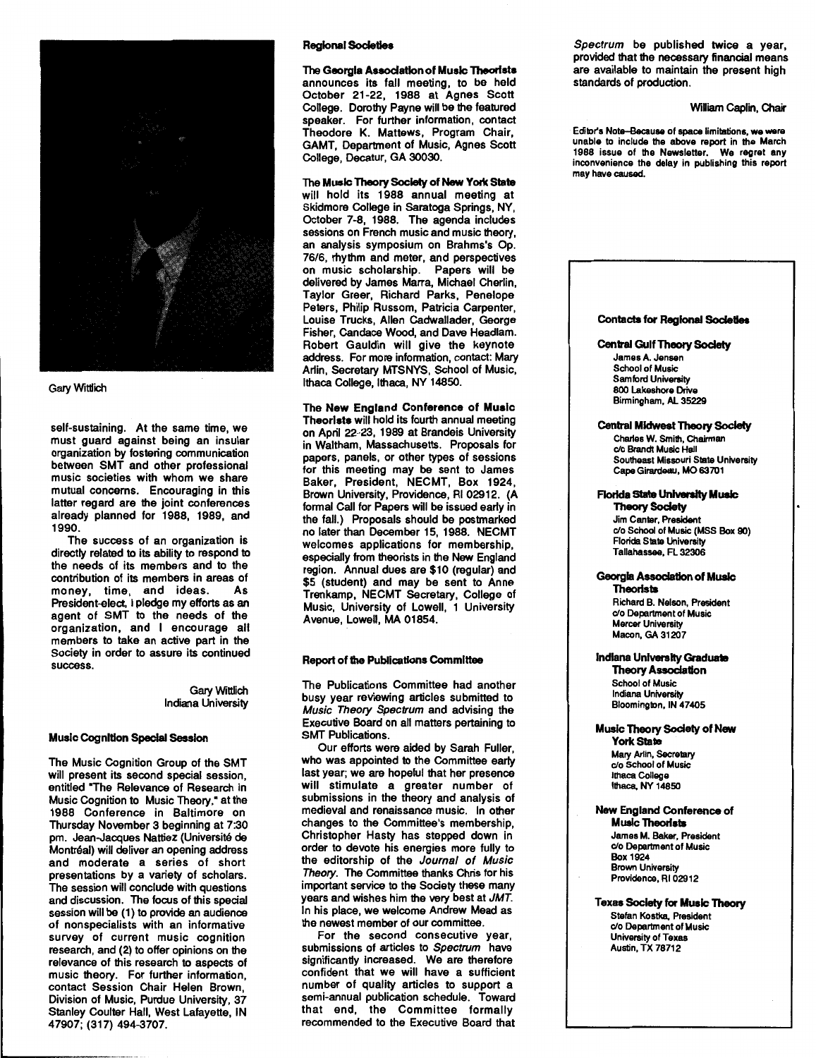

# **Gary Wittlich**

self-sustaining. At the same time, we must guard against being an insular organization by fostering communication between SMT and other professional music societies with whom we share mutual concerns. Encouraging in this latter regard are the joint conferences already planned for 1988, 1989, and 1990.

The success of an organization is directly related to its ability to respond to the needs of its members and to the contribution of its members in areas of money, time, and ideas. President-elect, I pledge my efforts as an agent of SMT to the needs of the organization, and I encourage all members to take an active part in the Society in order to assure its continued success.

> GaryWittlich Indiana University

### Music Cognition Special Session

The Music Cognition Group of the SMT will present its second special session, entitled "The Relevance of Research in Music Cognition to Music Theory," at the 1988 Conference in Baltimore on Thursday November 3 beginning at 7:30 pm. Jean-Jacques Nattiez (Universite de Montréal) will deliver an opening address and moderate a series of short presentations by a variety of scholars. The session will conclude with questions and discussion. The focus of this special session will be (1) to provide an audience of nonspecialists with an informative survey of current music cognition research, and (2) to offer opinions on the relevance of this research to aspects of music theory. For further information, contact Session Chair Helen Brown, Division of Music, Purdue University, 37 Stanley Coulter Hall, West Lafayette, IN 47907; (317) 494-3707.

# Regional Societies

The Georgia Association of Music Theorists announces its fall meeting, to be held October 21-22, 1988 at Agnes Scott College. Dorothy Payne will be the featured speaker. For further information, contact Theodore K. Mattews, Program Chair, GAMT, Department of Music, Agnes Scott College, Decatur, GA 30030.

The Music Theory Society of New York Slate

will hold its 1988 annual meeting at Skidmore College in Saratoga Springs, NY, October 7-8, 1988. The agenda includes sessions on French music and music theory, an analysis symposium on Brahms's Op. 76/6, rhythm and meter, and perspectives on music scholarship. Papers will be delivered by James Marra, Michael Cherlin, Taylor Greer, Richard Parks, Penelope Peters, Philip Russom, Patricia Carpenter, Louise Trucks, Allen Cadwallader, George Fisher, Candace Wood, and Dave Headlam. Robert Gauldin will give the keynote address. For more information, contact: Mary Arlin, Secretary MTSNYS, School of Music, Ithaca College, Ithaca, NY 14850.

The New England Conference of Music Theorists will hold its fourth annual meeting on April 22-23, 1989 at Brandeis University in Waltham, Massachusetts. Proposals for papers, panels, or other types of sessions for this meeting may be sent to James Baker, President, NECMT, Box 1924, Brown University, Providence, Rl 02912. (A formal Call for Papers will be issued early in the fall.) Proposals should be postmarked no later than December 15, 1988. NECMT welcomes applications for membership, especially from theorists in the New England region. Annual dues are \$10 (regular) and \$5 (student) and may be sent to Anne Trenkamp, NECMT Secretary, College of Music, University of Lowell, 1 University Avenue, Lowell, MA 01854.

# Report of the Publications Committee

The Publications Committee had another busy year reviewing articles submitted to Music Theory Spectrum and advising the Executive Board on all matters pertaining to SMT Publications.

Our efforts were aided by Sarah Fuller, who was appointed to the Committee early last year; we are hopeful that her presence will stimulate a greater number of submissions in the theory and analysis of medieval and renaissance music. In other changes to the Committee's membership, Christopher Hasty has stepped down in order to devote his energies more fully to the editorship of the Journal of Music Theory. The Committee thanks Chris for his important service to the Society these many years and wishes him the very best at JMT. In his place, we welcome Andrew Mead as the newest member of our committee.

For the second consecutive year, submissions of articles to Spectrum have significantly increased. We are therefore confident that we will have a sufficient number of quality articles to support a semi-annual publication schedule. Toward that end, the Committee formally recommended to the Executive Board that

Spectrum be published twice a year, provided that the necessary financial means are available to maintain the present high standards of production.

### William Caplin, Chair

Editor's Note-Because of space limitations, we were unable to include the above report in the March 1988 issue of the Newsletter. We regret any inconvenience the delay in publishing this report may have caused.



Music Theory Society of New **York State** Mary Arlin, Secrelary c/o School of Music

Ithaca College Ithaca, NY 14850

New England Conference of Music Theorists James M. Baker, President c/o Department of Music Box 1924 Brown University Providence, Rl 02912

Texas Society for Music Theory Stefan Kostka, President c/o Department of Music University of Texas Austin, TX 78712